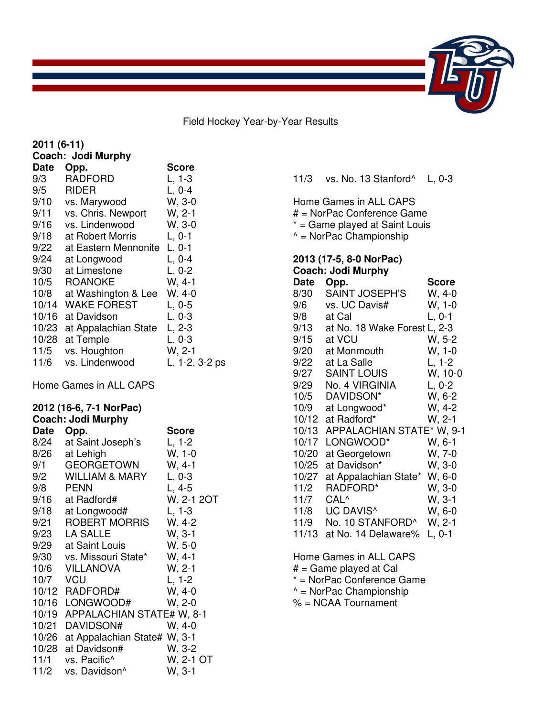Field Hockey Year-by-Year Results

| 2011 (6-11)    |                                                      |                     |  |
|----------------|------------------------------------------------------|---------------------|--|
|                | Coach: Jodi Murphy                                   |                     |  |
| Date           | Opp.                                                 | <b>Score</b>        |  |
| 9/3            | <b>RADFORD</b>                                       | $L, 1-3$            |  |
| 9/5            | <b>RIDER</b>                                         | $L, 0-4$            |  |
| 9/10           | vs. Marywood                                         | W, 3-0              |  |
| 9/11<br>9/16   | vs. Chris. Newport<br>vs. Lindenwood                 | W, 2-1<br>W, 3-0    |  |
| 9/18           | at Robert Morris                                     | $L, 0-1$            |  |
| 9/22           | at Eastern Mennonite                                 | $L, 0-1$            |  |
| 9/24           | at Longwood                                          | $L, 0-4$            |  |
| 9/30           | at Limestone                                         | $L, 0-2$            |  |
| 10/5           | <b>ROANOKE</b>                                       | W, 4-1              |  |
| 10/8           | at Washington & Lee                                  | $W, 4-0$            |  |
| 10/14          | <b>WAKE FOREST</b>                                   | $L, 0-5$            |  |
| 10/16          | at Davidson                                          | $L, 0-3$            |  |
| 10/23          | at Appalachian State                                 | L, 2-3              |  |
| 10/28          | at Temple                                            | $L, 0-3$            |  |
| 11/5           | vs. Houghton                                         | W, 2-1              |  |
| 11/6           | vs. Lindenwood                                       | L, 1-2, 3-2 ps      |  |
|                | Home Games in ALL CAPS                               |                     |  |
|                | 2012 (16-6, 7-1 NorPac)<br><b>Coach: Jodi Murphy</b> |                     |  |
| <b>Date</b>    | Opp.                                                 | Score               |  |
| 8/24           | at Saint Joseph's                                    | $L, 1-2$            |  |
| 8/26           | at Lehigh                                            | $W, 1-0$            |  |
| 9/1            | <b>GEORGETOWN</b>                                    | W, 4-1              |  |
| 9/2            | <b>WILLIAM &amp; MARY</b>                            | $L, 0-3$            |  |
| 9/8            | <b>PENN</b>                                          | $L, 4-5$            |  |
| 9/16           | at Radford#                                          | W, 2-1 2OT          |  |
| 9/18           | at Longwood#                                         | $L, 1-3$            |  |
| 9/21           | <b>ROBERT MORRIS</b>                                 | W, 4-2              |  |
| 9/23           | LA SALLE                                             | W, 3-1              |  |
| 9/29           | at Saint Louis                                       | $W, 5-0$            |  |
| 9/30           | vs. Missouri State*                                  | W, 4-1              |  |
| 10/6           | <b>VILLANOVA</b>                                     | W, 2-1              |  |
| 10/7           | <b>VCU</b>                                           | $L, 1-2$            |  |
|                | 10/12 RADFORD#                                       | W. 4-0              |  |
|                | 10/16 LONGWOOD#                                      | W, 2-0              |  |
| 10/19<br>10/21 | APPALACHIAN STATE# W, 8-1<br>DAVIDSON#               | $W, 4-0$            |  |
| 10/26          |                                                      |                     |  |
|                |                                                      |                     |  |
|                | at Appalachian State# W, 3-1                         |                     |  |
| 10/28<br>11/1  | at Davidson#<br>vs. Pacific^                         | W, 3-2<br>W, 2-1 OT |  |

| 2013 (17-5, 8-0 NorPac)<br>Coach: Jodi Murphy |                                                                                                                             |  |  |  |          |
|-----------------------------------------------|-----------------------------------------------------------------------------------------------------------------------------|--|--|--|----------|
|                                               | Home Games in ALL CAPS<br># = NorPac Conference Game<br>* = Game played at Saint Louis<br>$^{\wedge}$ = NorPac Championship |  |  |  |          |
|                                               | 11/3 vs. No. 13 Stanford <sup>^</sup>                                                                                       |  |  |  | L, $0-3$ |

|       | <b>UUAUII. UUUI MUI PIIY</b> |              |
|-------|------------------------------|--------------|
| Date  | Opp.                         | <b>Score</b> |
| 8/30  | <b>SAINT JOSEPH'S</b>        | $W, 4-0$     |
| 9/6   | vs. UC Davis#                | W, 1-0       |
| 9/8   | at Cal                       | $L, 0-1$     |
| 9/13  | at No. 18 Wake Forest L, 2-3 |              |
| 9/15  | at VCU                       | W. 5-2       |
| 9/20  | at Monmouth                  | W, 1-0       |
| 9/22  | at La Salle                  | L, 1-2       |
| 9/27  | <b>SAINT LOUIS</b>           | W, 10-0      |
| 9/29  | No. 4 VIRGINIA               | $L, 0-2$     |
| 10/5  | DAVIDSON*                    | W, 6-2       |
| 10/9  | at Longwood*                 | W, 4-2       |
| 10/12 | at Radford*                  | W, 2-1       |
| 10/13 | APPALACHIAN STATE* W, 9-1    |              |
| 10/17 | LONGWOOD*                    | W, 6-1       |
| 10/20 | at Georgetown                | W, 7-0       |
| 10/25 | at Davidson*                 | W, 3-0       |
| 10/27 | at Appalachian State*        | $W, 6-0$     |
| 11/2  | RADFORD*                     | W, 3-0       |
| 11/7  | CAL <sup>^</sup>             | W, 3-1       |
| 11/8  | UC DAVIS <sup>^</sup>        | W, 6-0       |
| 11/9  | No. 10 STANFORD^             | W, 2-1       |
| 11/13 | at No. 14 Delaware%          | $L, 0-1$     |

Home Games in ALL CAPS

# = Game played at Cal

- \* = NorPac Conference Game
- ^ = NorPac Championship

% = NCAA Tournament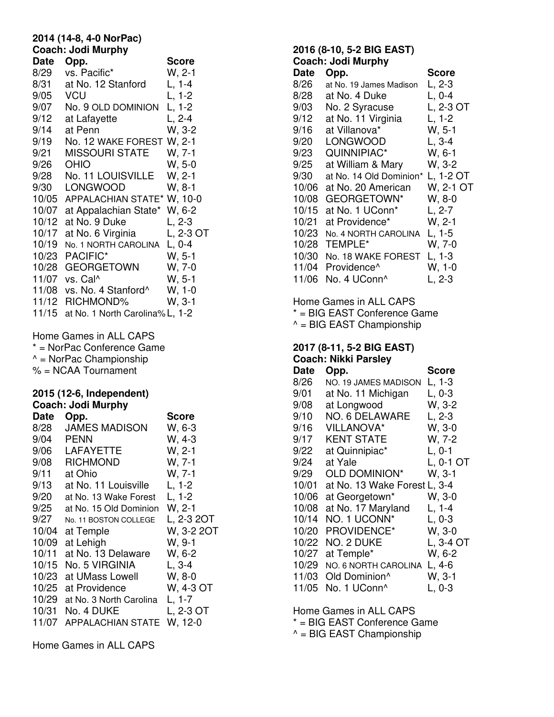# **2014 (14-8, 4-0 NorPac) Coach: Jodi Murphy**

| <b>Date</b>  | Opp.                                                                                   | <b>Score</b>         |
|--------------|----------------------------------------------------------------------------------------|----------------------|
| 8/29         | vs. Pacific*                                                                           | $W, 2-1$             |
|              | at No. 12 Stanford                                                                     |                      |
| 8/31         |                                                                                        | $L, 1-4$             |
| 9/05         | <b>VCU</b>                                                                             | $L, 1-2$             |
| 9/07         | No. 9 OLD DOMINION                                                                     | $L, 1-2$             |
| 9/12         | at Lafayette                                                                           | $L, 2-4$             |
| 9/14         | at Penn                                                                                | W, 3-2               |
| 9/19         | No. 12 WAKE FOREST W, 2-1                                                              |                      |
| 9/21         | <b>MISSOURI STATE</b>                                                                  | W, 7-1               |
| 9/26         | <b>OHIO</b>                                                                            | $W, 5-0$             |
| 9/28         | No. 11 LOUISVILLE                                                                      | $W, 2-1$             |
| 9/30         | <b>LONGWOOD</b>                                                                        | $W, 8-1$             |
|              | 10/05 APPALACHIAN STATE* W, 10-0                                                       |                      |
| 10/07        | at Appalachian State* W, 6-2                                                           |                      |
| 10/12        | at No. 9 Duke                                                                          | L, 2-3               |
| 10/17        | at No. 6 Virginia                                                                      | L, 2-3 OT            |
| 10/19        | No. 1 NORTH CAROLINA                                                                   | $L, 0-4$             |
|              | 10/23 PACIFIC*                                                                         | $W, 5-1$             |
|              | 10/28 GEORGETOWN                                                                       | W, 7-0               |
|              | 11/07 vs. Cal^                                                                         | $W, 5-1$             |
|              | 11/08 vs. No. 4 Stanford^                                                              | $W, 1-0$<br>$W, 3-1$ |
|              | 11/12 RICHMOND%                                                                        |                      |
| 11/15        | at No. 1 North Carolina% L, 1-2                                                        |                      |
|              | * = NorPac Conference Game<br>$^{\wedge}$ = NorPac Championship<br>% = NCAA Tournament |                      |
|              | 2015 (12-6, Independent)<br><b>Coach: Jodi Murphy</b>                                  | <b>Score</b>         |
| Date<br>8/28 | Opp.<br><b>JAMES MADISON</b>                                                           | W, 6-3               |
| 9/04 PENN    |                                                                                        | W, 4-3               |
|              | 9/06 LAFAYETTE                                                                         | W, 2-1               |
| 9/08         | <b>RICHMOND</b>                                                                        | W, 7-1               |
| 9/11         | at Ohio                                                                                | W, 7-1               |
| 9/13         | at No. 11 Louisville                                                                   | $L, 1-2$             |
| 9/20         | at No. 13 Wake Forest                                                                  | $L, 1-2$             |
| 9/25         | at No. 15 Old Dominion                                                                 | $W, 2-1$             |
| 9/27         | No. 11 BOSTON COLLEGE                                                                  | L, 2-3 2OT           |
| 10/04        | at Temple                                                                              | W, 3-2 2OT           |
| 10/09        | at Lehigh                                                                              | W, 9-1               |
| 10/11        | at No. 13 Delaware                                                                     | W, 6-2               |
| 10/15        | No. 5 VIRGINIA                                                                         | $L, 3-4$             |
| 10/23        | at UMass Lowell                                                                        | W, 8-0               |
| 10/25        | at Providence                                                                          | W, 4-3 OT            |
| 10/29        | at No. 3 North Carolina                                                                | $L, 1-7$             |
| 10/31        | No. 4 DUKE                                                                             | L, 2-3 OT            |
| 11/07        | <b>APPALACHIAN STATE</b>                                                               | W, 12-0              |

Home Games in ALL CAPS

# **2016 (8-10, 5-2 BIG EAST) Coach: Jodi Murphy**  Date Opp. Score 8/26 at No. 19 James Madison L, 2-3 8/28 at No. 4 Duke L, 0-4 9/03 No. 2 Syracuse L, 2-3 OT 9/12 at No. 11 Virginia L, 1-2 9/16 at Villanova\* W, 5-1 9/20 LONGWOOD L, 3-4 9/23 QUINNIPIAC\* W, 6-1 9/25 at William & Mary W, 3-2 9/30 at No. 14 Old Dominion\* L, 1-2 OT 10/06 at No. 20 American W, 2-1 OT 10/08 GEORGETOWN\* W, 8-0 10/15 at No. 1 UConn\* L, 2-7 10/21 at Providence\* W, 2-1 10/23 No. 4 NORTH CAROLINA L, 1-5 10/28 TEMPLE\* W, 7-0 10/30 No. 18 WAKE FOREST L, 1-3 11/04 Providence<sup>^</sup> W, 1-0<br>11/06 No. 4 UConn<sup>^</sup> L, 2-3 11/06 No. 4 UConn^ Home Games in ALL CAPS

\* = BIG EAST Conference Game

 $^{\wedge}$  = BIG EAST Championship

# **2017 (8-11, 5-2 BIG EAST) Coach: Nikki Parsley**

| Date  | Opp.                         | <b>Score</b> |
|-------|------------------------------|--------------|
| 8/26  | NO. 19 JAMES MADISON         | L, 1-3       |
| 9/01  | at No. 11 Michigan           | L, 0-3       |
| 9/08  | at Longwood                  | W, 3-2       |
| 9/10  | NO. 6 DELAWARE               | L, 2-3       |
| 9/16  | <b>VILLANOVA*</b>            | W, 3-0       |
| 9/17  | <b>KENT STATE</b>            | W, 7-2       |
| 9/22  | at Quinnipiac*               | L, 0-1       |
| 9/24  | at Yale                      | L, 0-1 OT    |
| 9/29  | <b>OLD DOMINION*</b>         | W. 3-1       |
| 10/01 | at No. 13 Wake Forest L, 3-4 |              |
| 10/06 | at Georgetown*               | W. 3-0       |
| 10/08 | at No. 17 Maryland           | $L, 1-4$     |
| 10/14 | NO. 1 UCONN*                 | L. 0-3       |
| 10/20 | <b>PROVIDENCE*</b>           | W. 3-0       |
| 10/22 | NO. 2 DUKE                   | L, 3-4 OT    |
| 10/27 | at Temple*                   | W, 6-2       |
| 10/29 | NO. 6 NORTH CAROLINA         | $L, 4-6$     |
| 11/03 | Old Dominion <sup>^</sup>    | W, 3-1       |
| 11/05 | No. 1 UConn <sup>^</sup>     | L, 0-3       |

Home Games in ALL CAPS

\* = BIG EAST Conference Game

 $^{\wedge}$  = BIG EAST Championship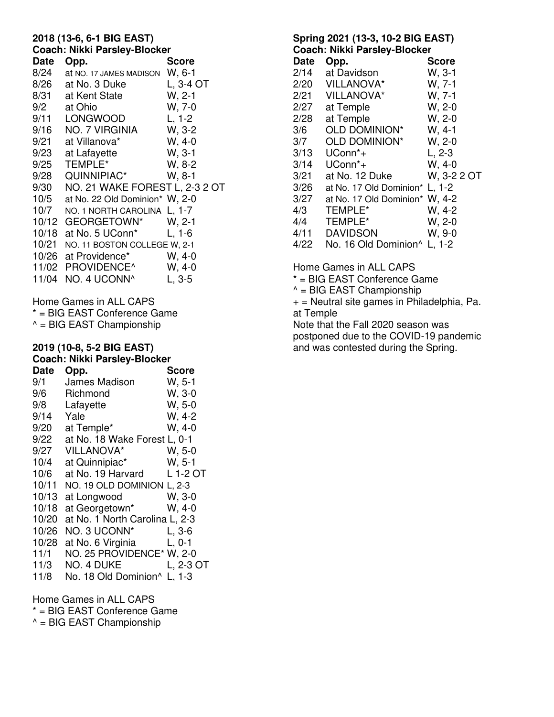#### **2018 (13-6, 6-1 BIG EAST) Coach: Nikki Parsley-Blocker**

| <b>OUGUII. INIKKI I GISICY-DIUCKEI</b> |                                   |                             |  |
|----------------------------------------|-----------------------------------|-----------------------------|--|
| Date                                   | Opp.                              | <b>Score</b>                |  |
| 8/24                                   | at NO. 17 JAMES MADISON W, 6-1    |                             |  |
| 8/26                                   | at No. 3 Duke                     | $L, 3-4$ OT                 |  |
| 8/31                                   | at Kent State                     | $W, 2-1$                    |  |
|                                        | 9/2 at Ohio                       | W, 7-0                      |  |
|                                        | 9/11 LONGWOOD                     | $L, 1-2$                    |  |
|                                        | 9/16 NO. 7 VIRGINIA               | W, 3-2                      |  |
|                                        | 9/21 at Villanova*                | $W, 4-0$                    |  |
| 9/23                                   | at Lafayette                      | vv, 4-u<br>W, 3-1<br>W, 8-2 |  |
| 9/25                                   | TEMPLE*                           | W, 8-2                      |  |
|                                        | 9/28     QUINNIPIAC*              | W. 8-1                      |  |
| 9/30                                   | NO. 21 WAKE FOREST L, 2-3 2 OT    |                             |  |
| 10/5                                   | at No. 22 Old Dominion* W, 2-0    |                             |  |
| 10/7                                   | NO. 1 NORTH CAROLINA L, 1-7       |                             |  |
|                                        | 10/12 GEORGETOWN* W, 2-1          |                             |  |
| 10/18                                  | at No. $5 \text{ UConn}^*$ L, 1-6 |                             |  |
| 10/21                                  | NO. 11 BOSTON COLLEGE W, 2-1      |                             |  |
| 10/26                                  | at Providence* W, 4-0             |                             |  |
|                                        | 11/02 PROVIDENCE^                 | $W, 4-0$                    |  |
|                                        | 11/04 NO. 4 UCONN^                | L, 3-5                      |  |
|                                        |                                   |                             |  |

Home Games in ALL CAPS

\* = BIG EAST Conference Game

 $^{\wedge}$  = BIG EAST Championship

# **2019 (10-8, 5-2 BIG EAST) Coach: Nikki Parsley-Blocker**

| <b>Date</b> | Opp.                           | <b>Score</b> |
|-------------|--------------------------------|--------------|
| 9/1         | James Madison                  | W, 5-1       |
| 9/6         | Richmond                       | $W, 3-0$     |
| 9/8         | Lafayette                      | $W, 5-0$     |
| 9/14        | Yale                           | W, 4-2       |
| 9/20        | at Temple*                     | $W, 4-0$     |
| 9/22        | at No. 18 Wake Forest L, 0-1   |              |
| 9/27        | <b>VILLANOVA*</b>              | W, 5-0       |
| 10/4        | at Quinnipiac*                 | W, 5-1       |
| 10/6        | at No. 19 Harvard              | L 1-2 OT     |
| 10/11       | NO. 19 OLD DOMINION L, 2-3     |              |
| 10/13       | at Longwood                    | $W, 3-0$     |
| 10/18       | at Georgetown*                 | $W, 4-0$     |
| 10/20       | at No. 1 North Carolina L, 2-3 |              |
| 10/26       | NO. 3 UCONN*                   | L, 3-6       |
| 10/28       | at No. 6 Virginia              | $L, 0-1$     |
| 11/1        | NO. 25 PROVIDENCE* W, 2-0      |              |
| 11/3        | NO. 4 DUKE                     | L, 2-3 OT    |
| 11/8        | No. 18 Old Dominion^ L, 1-3    |              |

Home Games in ALL CAPS

\* = BIG EAST Conference Game

 $^{\wedge}$  = BIG EAST Championship

### **Spring 2021 (13-3, 10-2 BIG EAST) Coach: Nikki Parsley-Blocker**

| GUAGII. ININNI FAISICY-DIUGNUI |                                                                                                             |  |  |
|--------------------------------|-------------------------------------------------------------------------------------------------------------|--|--|
| Opp.                           | <b>Score</b>                                                                                                |  |  |
| at Davidson                    | W, 3-1                                                                                                      |  |  |
| VILLANOVA*                     | $W, 7-1$                                                                                                    |  |  |
| <b>VILLANOVA*</b>              | W, 7-1                                                                                                      |  |  |
| at Temple                      | W, 2-0                                                                                                      |  |  |
| at Temple                      | W, 2-0                                                                                                      |  |  |
| <b>OLD DOMINION*</b>           | W, 4-1                                                                                                      |  |  |
| OLD DOMINION*                  | W, 2-0                                                                                                      |  |  |
| UConn <sup>*</sup> +           | L, 2-3                                                                                                      |  |  |
| UConn <sup>*</sup> +           | W. 4-0                                                                                                      |  |  |
| at No. 12 Duke                 | W. 3-2 2 OT                                                                                                 |  |  |
|                                |                                                                                                             |  |  |
|                                |                                                                                                             |  |  |
| <b>TEMPLE*</b>                 | W. 4-2                                                                                                      |  |  |
| TEMPLE*                        | W, 2-0                                                                                                      |  |  |
| <b>DAVIDSON</b>                | W, 9-0                                                                                                      |  |  |
|                                |                                                                                                             |  |  |
|                                | at No. 17 Old Dominion* L, 1-2<br>at No. 17 Old Dominion* W, 4-2<br>No. 16 Old Dominion <sup>^</sup> L, 1-2 |  |  |

Home Games in ALL CAPS

\* = BIG EAST Conference Game

 $^{\wedge}$  = BIG EAST Championship

 $+$  = Neutral site games in Philadelphia, Pa. at Temple

Note that the Fall 2020 season was postponed due to the COVID-19 pandemic and was contested during the Spring.